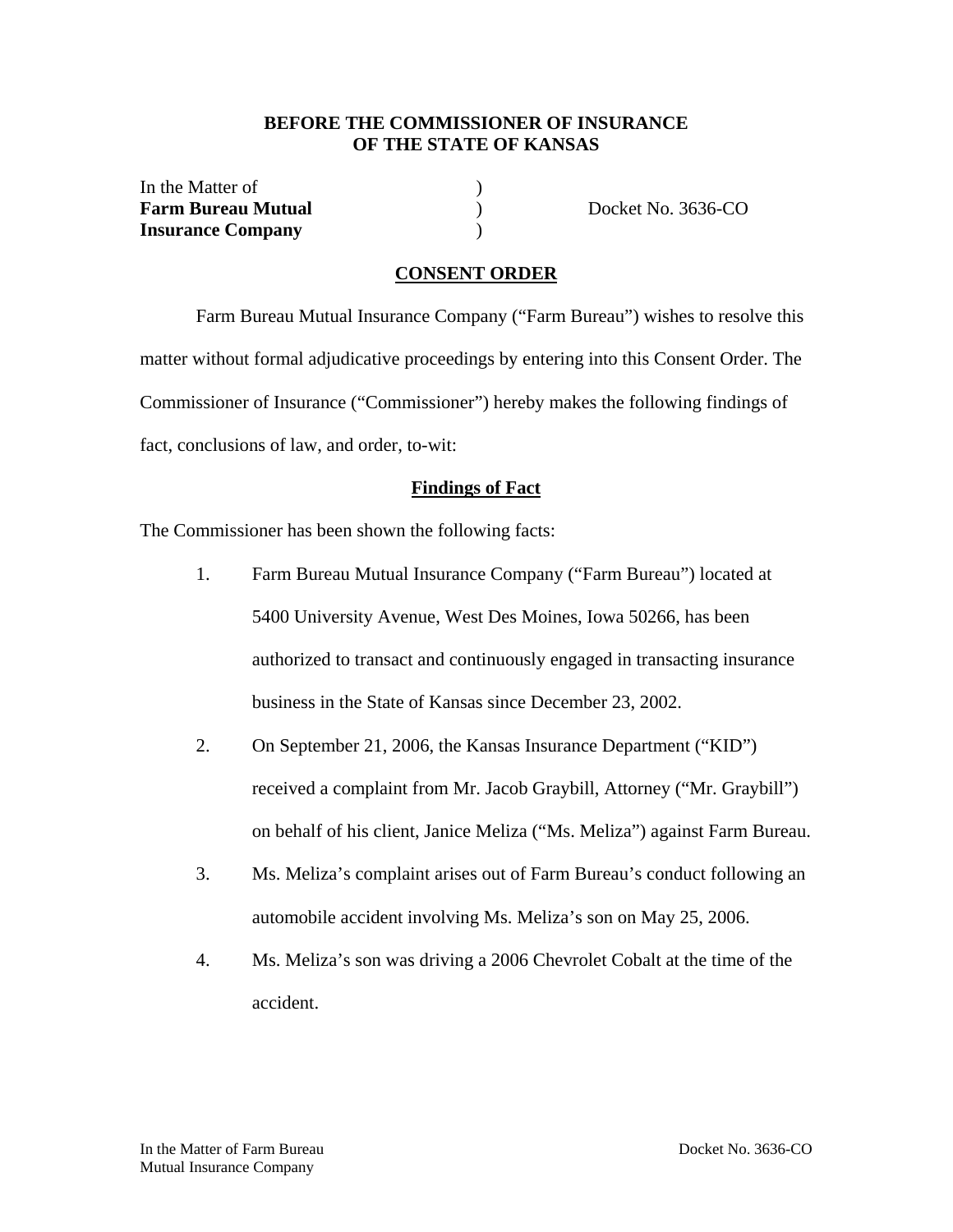### **BEFORE THE COMMISSIONER OF INSURANCE OF THE STATE OF KANSAS**

In the Matter of (1) **Farm Bureau Mutual** ) Docket No. 3636-CO **Insurance Company** )

## **CONSENT ORDER**

 Farm Bureau Mutual Insurance Company ("Farm Bureau") wishes to resolve this matter without formal adjudicative proceedings by entering into this Consent Order. The Commissioner of Insurance ("Commissioner") hereby makes the following findings of fact, conclusions of law, and order, to-wit:

#### **Findings of Fact**

The Commissioner has been shown the following facts:

- 1. Farm Bureau Mutual Insurance Company ("Farm Bureau") located at 5400 University Avenue, West Des Moines, Iowa 50266, has been authorized to transact and continuously engaged in transacting insurance business in the State of Kansas since December 23, 2002.
- 2. On September 21, 2006, the Kansas Insurance Department ("KID") received a complaint from Mr. Jacob Graybill, Attorney ("Mr. Graybill") on behalf of his client, Janice Meliza ("Ms. Meliza") against Farm Bureau.
- 3. Ms. Meliza's complaint arises out of Farm Bureau's conduct following an automobile accident involving Ms. Meliza's son on May 25, 2006.
- 4. Ms. Meliza's son was driving a 2006 Chevrolet Cobalt at the time of the accident.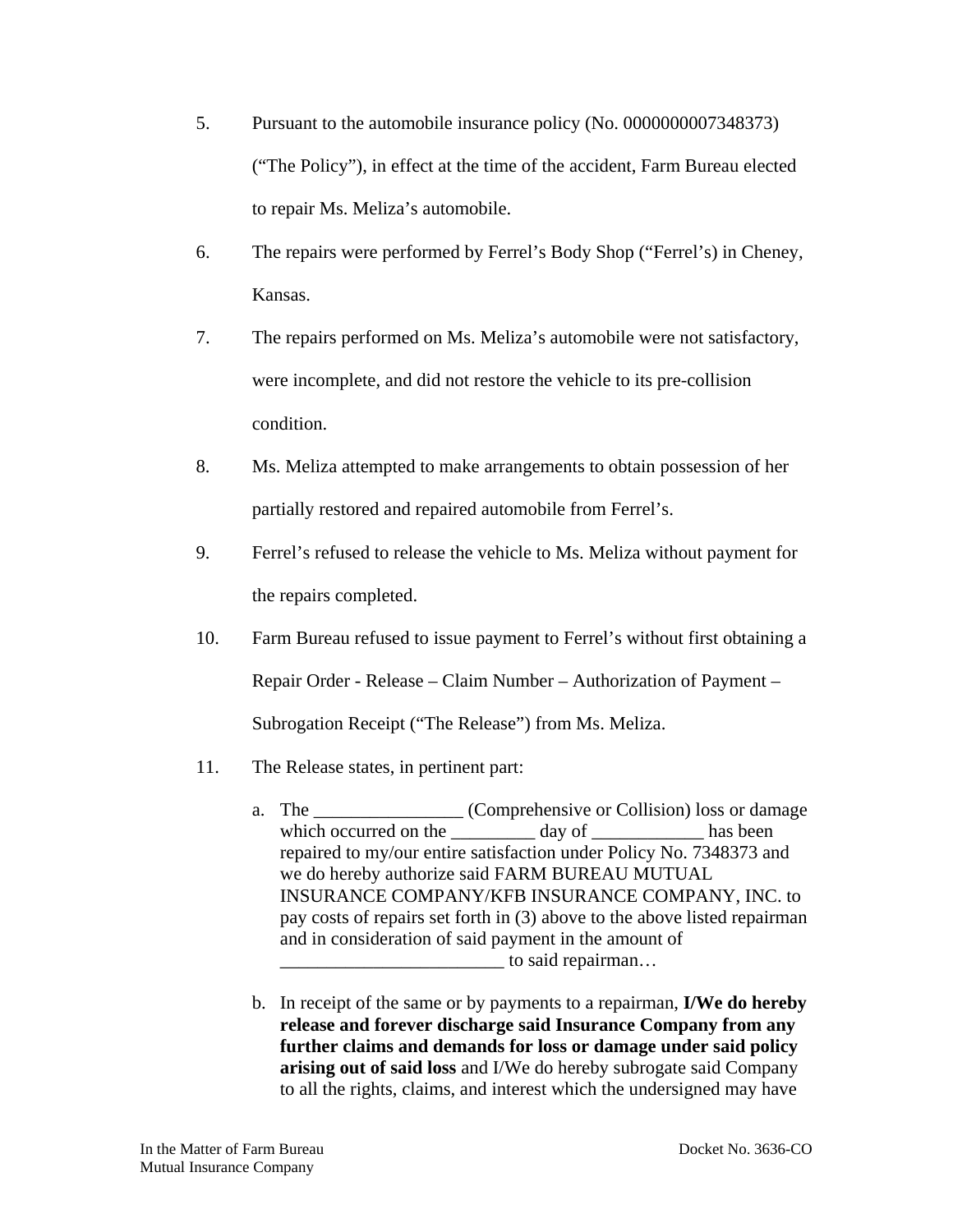- 5. Pursuant to the automobile insurance policy (No. 0000000007348373) ("The Policy"), in effect at the time of the accident, Farm Bureau elected to repair Ms. Meliza's automobile.
- 6. The repairs were performed by Ferrel's Body Shop ("Ferrel's) in Cheney, Kansas.
- 7. The repairs performed on Ms. Meliza's automobile were not satisfactory, were incomplete, and did not restore the vehicle to its pre-collision condition.
- 8. Ms. Meliza attempted to make arrangements to obtain possession of her partially restored and repaired automobile from Ferrel's.
- 9. Ferrel's refused to release the vehicle to Ms. Meliza without payment for the repairs completed.
- 10. Farm Bureau refused to issue payment to Ferrel's without first obtaining a Repair Order - Release – Claim Number – Authorization of Payment – Subrogation Receipt ("The Release") from Ms. Meliza.
- 11. The Release states, in pertinent part:
	- a. The \_\_\_\_\_\_\_\_\_\_\_\_\_\_\_\_ (Comprehensive or Collision) loss or damage which occurred on the day of has been repaired to my/our entire satisfaction under Policy No. 7348373 and we do hereby authorize said FARM BUREAU MUTUAL INSURANCE COMPANY/KFB INSURANCE COMPANY, INC. to pay costs of repairs set forth in (3) above to the above listed repairman and in consideration of said payment in the amount of to said repairman…
	- b. In receipt of the same or by payments to a repairman, **I/We do hereby release and forever discharge said Insurance Company from any further claims and demands for loss or damage under said policy arising out of said loss** and I/We do hereby subrogate said Company to all the rights, claims, and interest which the undersigned may have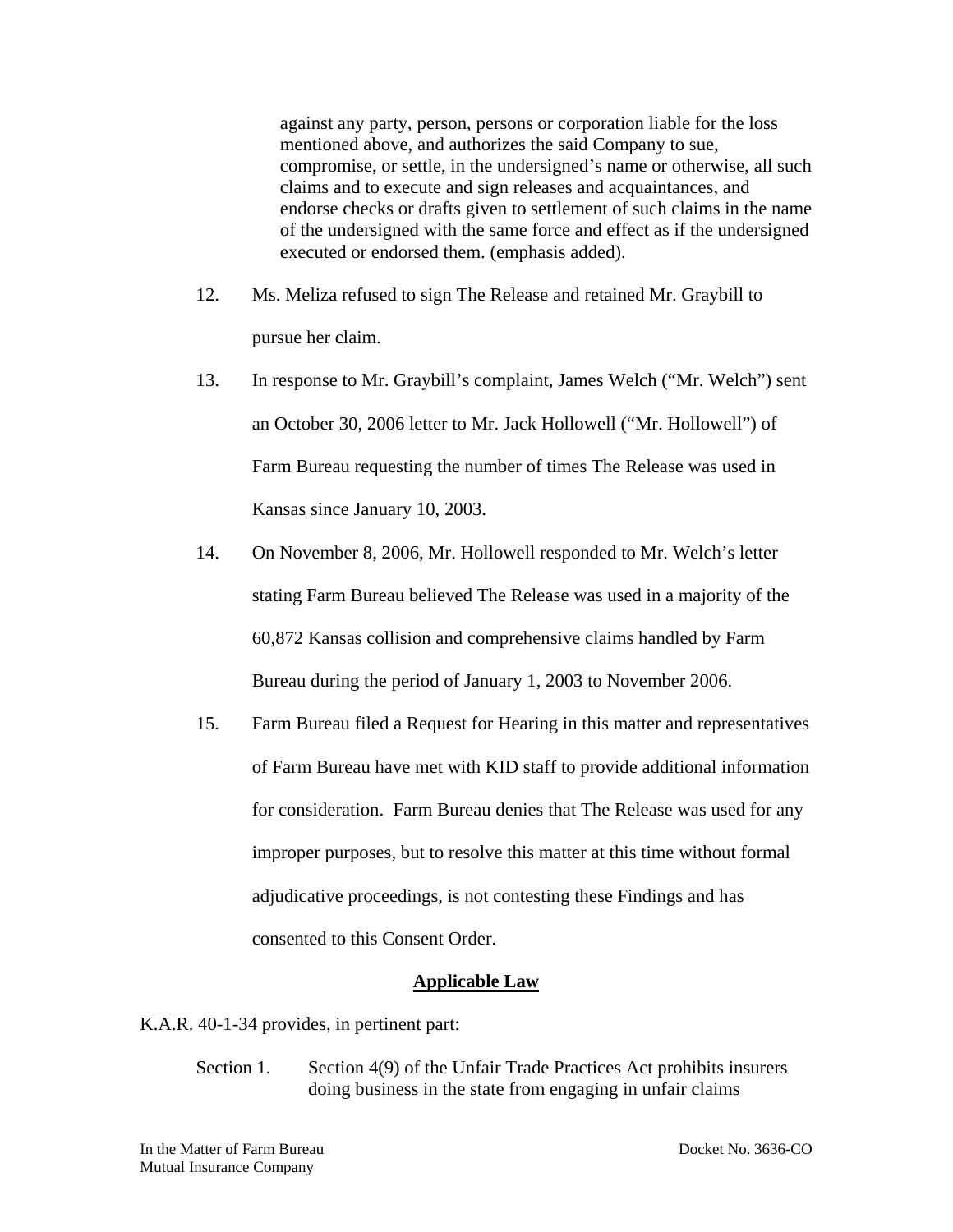against any party, person, persons or corporation liable for the loss mentioned above, and authorizes the said Company to sue, compromise, or settle, in the undersigned's name or otherwise, all such claims and to execute and sign releases and acquaintances, and endorse checks or drafts given to settlement of such claims in the name of the undersigned with the same force and effect as if the undersigned executed or endorsed them. (emphasis added).

- 12. Ms. Meliza refused to sign The Release and retained Mr. Graybill to pursue her claim.
- 13. In response to Mr. Graybill's complaint, James Welch ("Mr. Welch") sent an October 30, 2006 letter to Mr. Jack Hollowell ("Mr. Hollowell") of Farm Bureau requesting the number of times The Release was used in Kansas since January 10, 2003.
- 14. On November 8, 2006, Mr. Hollowell responded to Mr. Welch's letter stating Farm Bureau believed The Release was used in a majority of the 60,872 Kansas collision and comprehensive claims handled by Farm Bureau during the period of January 1, 2003 to November 2006.
- 15. Farm Bureau filed a Request for Hearing in this matter and representatives of Farm Bureau have met with KID staff to provide additional information for consideration. Farm Bureau denies that The Release was used for any improper purposes, but to resolve this matter at this time without formal adjudicative proceedings, is not contesting these Findings and has consented to this Consent Order.

#### **Applicable Law**

K.A.R. 40-1-34 provides, in pertinent part:

Section 1. Section 4(9) of the Unfair Trade Practices Act prohibits insurers doing business in the state from engaging in unfair claims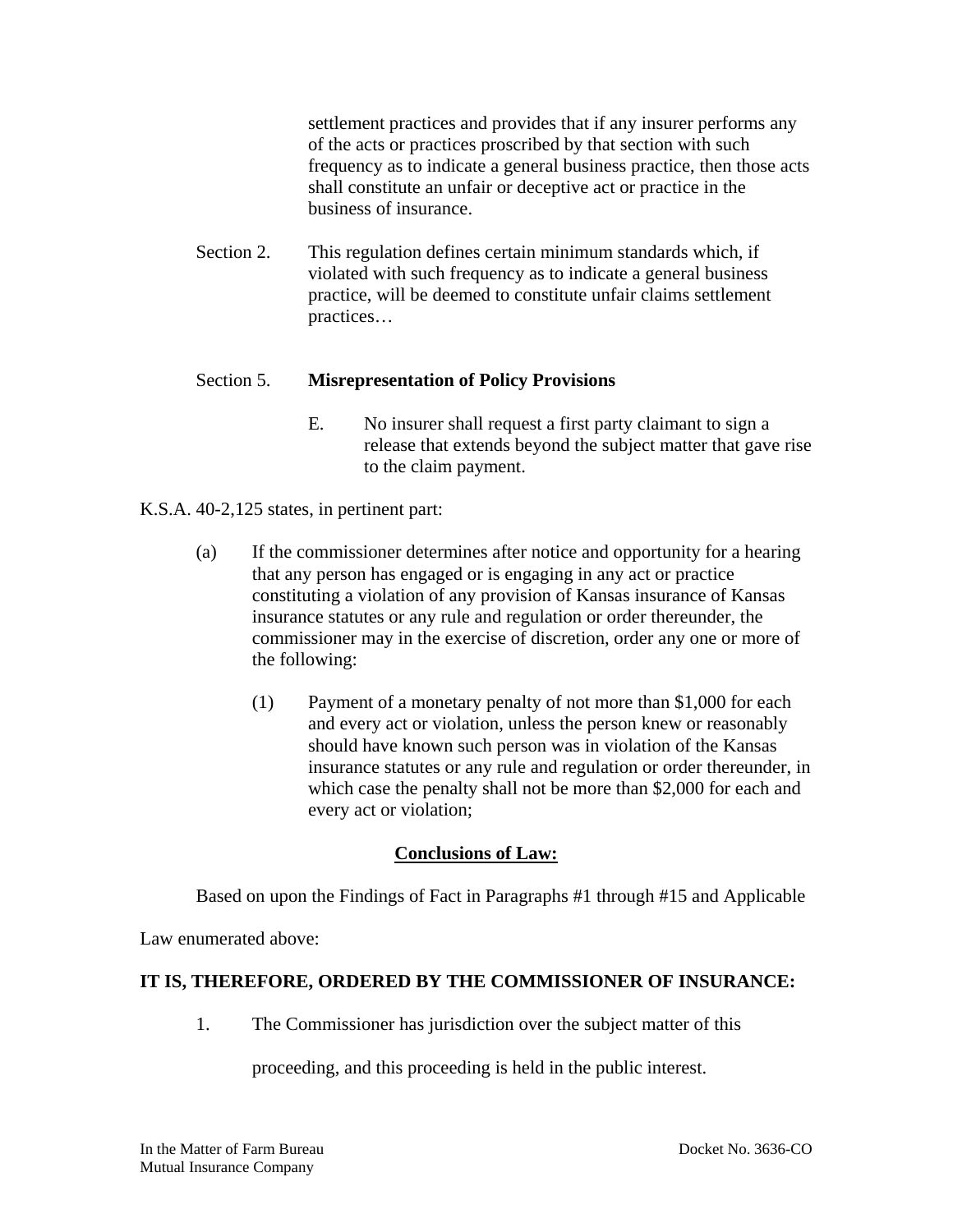settlement practices and provides that if any insurer performs any of the acts or practices proscribed by that section with such frequency as to indicate a general business practice, then those acts shall constitute an unfair or deceptive act or practice in the business of insurance.

Section 2. This regulation defines certain minimum standards which, if violated with such frequency as to indicate a general business practice, will be deemed to constitute unfair claims settlement practices…

## Section 5. **Misrepresentation of Policy Provisions**

- E. No insurer shall request a first party claimant to sign a release that extends beyond the subject matter that gave rise to the claim payment.
- K.S.A. 40-2,125 states, in pertinent part:
	- (a) If the commissioner determines after notice and opportunity for a hearing that any person has engaged or is engaging in any act or practice constituting a violation of any provision of Kansas insurance of Kansas insurance statutes or any rule and regulation or order thereunder, the commissioner may in the exercise of discretion, order any one or more of the following:
		- (1) Payment of a monetary penalty of not more than \$1,000 for each and every act or violation, unless the person knew or reasonably should have known such person was in violation of the Kansas insurance statutes or any rule and regulation or order thereunder, in which case the penalty shall not be more than \$2,000 for each and every act or violation;

# **Conclusions of Law:**

Based on upon the Findings of Fact in Paragraphs #1 through #15 and Applicable

Law enumerated above:

#### **IT IS, THEREFORE, ORDERED BY THE COMMISSIONER OF INSURANCE:**

1. The Commissioner has jurisdiction over the subject matter of this

proceeding, and this proceeding is held in the public interest.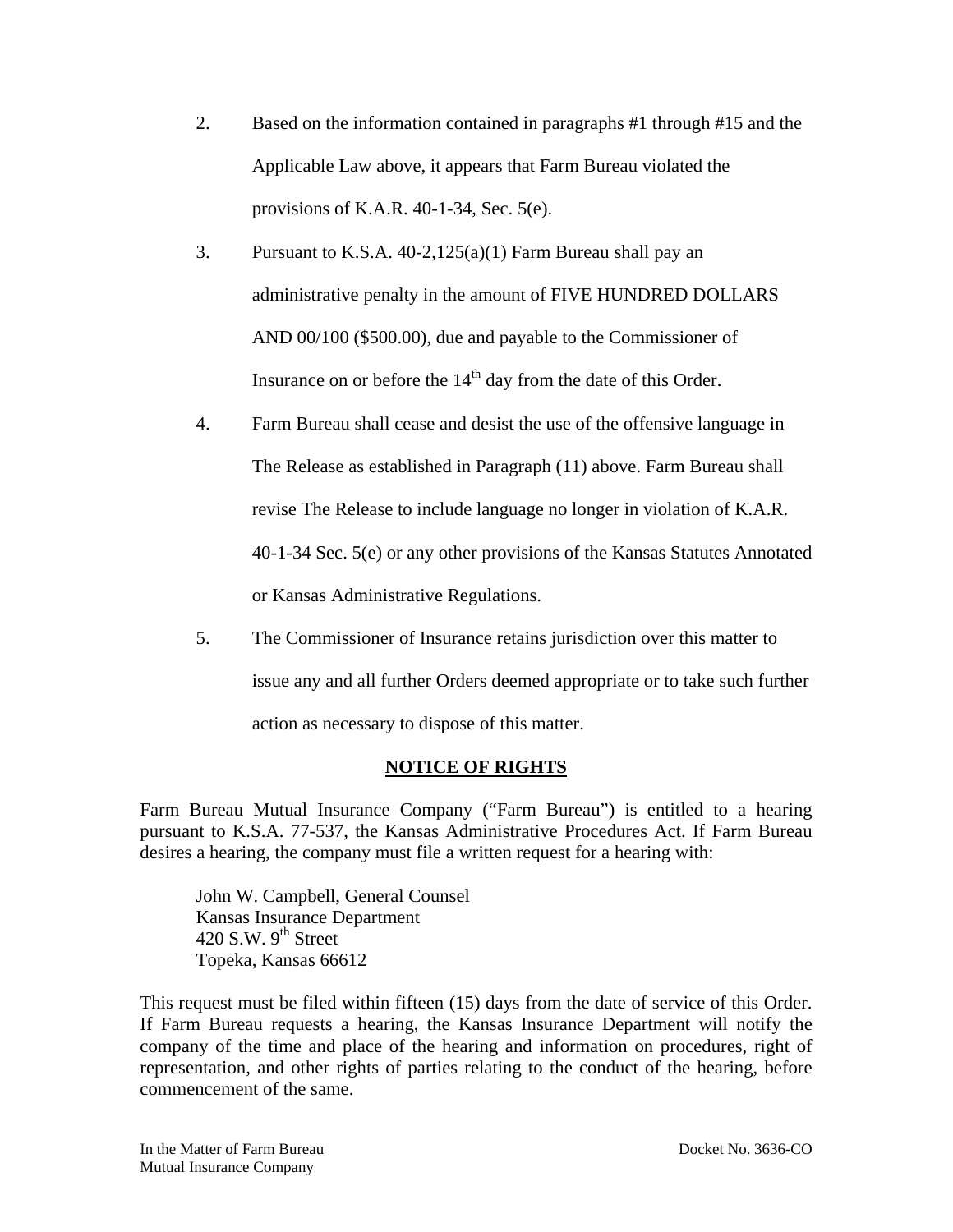- 2. Based on the information contained in paragraphs #1 through #15 and the Applicable Law above, it appears that Farm Bureau violated the provisions of K.A.R. 40-1-34, Sec. 5(e).
- 3. Pursuant to K.S.A. 40-2,125(a)(1) Farm Bureau shall pay an administrative penalty in the amount of FIVE HUNDRED DOLLARS AND 00/100 (\$500.00), due and payable to the Commissioner of Insurance on or before the  $14<sup>th</sup>$  day from the date of this Order.
- 4. Farm Bureau shall cease and desist the use of the offensive language in The Release as established in Paragraph (11) above. Farm Bureau shall revise The Release to include language no longer in violation of K.A.R. 40-1-34 Sec. 5(e) or any other provisions of the Kansas Statutes Annotated or Kansas Administrative Regulations.
- 5. The Commissioner of Insurance retains jurisdiction over this matter to issue any and all further Orders deemed appropriate or to take such further action as necessary to dispose of this matter.

# **NOTICE OF RIGHTS**

Farm Bureau Mutual Insurance Company ("Farm Bureau") is entitled to a hearing pursuant to K.S.A. 77-537, the Kansas Administrative Procedures Act. If Farm Bureau desires a hearing, the company must file a written request for a hearing with:

 John W. Campbell, General Counsel Kansas Insurance Department 420 S.W.  $9<sup>th</sup>$  Street Topeka, Kansas 66612

This request must be filed within fifteen (15) days from the date of service of this Order. If Farm Bureau requests a hearing, the Kansas Insurance Department will notify the company of the time and place of the hearing and information on procedures, right of representation, and other rights of parties relating to the conduct of the hearing, before commencement of the same.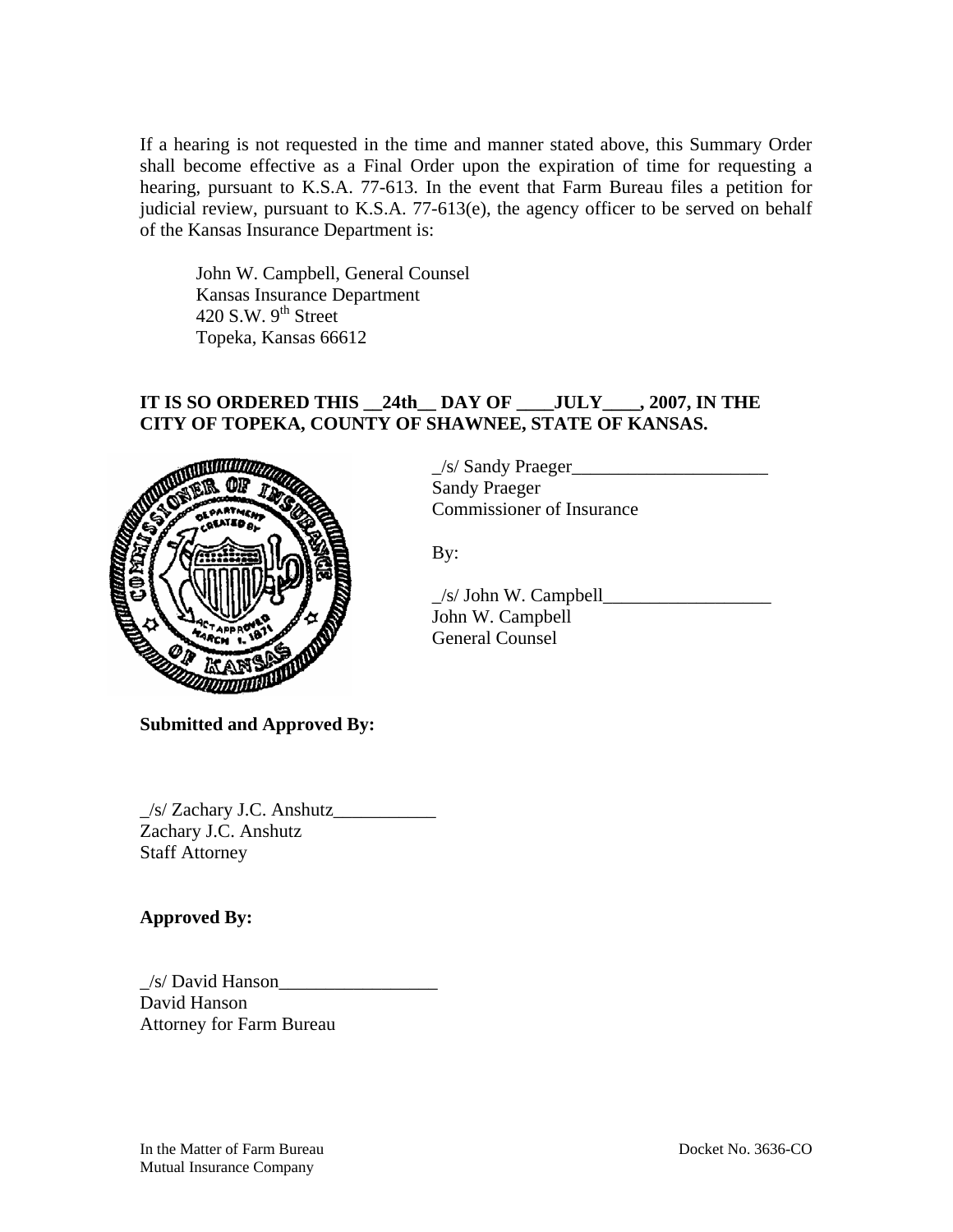If a hearing is not requested in the time and manner stated above, this Summary Order shall become effective as a Final Order upon the expiration of time for requesting a hearing, pursuant to K.S.A. 77-613. In the event that Farm Bureau files a petition for judicial review, pursuant to K.S.A. 77-613(e), the agency officer to be served on behalf of the Kansas Insurance Department is:

John W. Campbell, General Counsel Kansas Insurance Department 420 S.W.  $9<sup>th</sup>$  Street Topeka, Kansas 66612

# **IT IS SO ORDERED THIS \_\_24th\_\_ DAY OF \_\_\_\_JULY\_\_\_\_, 2007, IN THE CITY OF TOPEKA, COUNTY OF SHAWNEE, STATE OF KANSAS.**



 $\angle$ /s/ Sandy Praeger $\angle$ Sandy Praeger Commissioner of Insurance

By:

 \_/s/ John W. Campbell\_\_\_\_\_\_\_\_\_\_\_\_\_\_\_\_\_\_ John W. Campbell General Counsel

**Submitted and Approved By:** 

\_/s/ Zachary J.C. Anshutz\_\_\_\_\_\_\_\_\_\_\_ Zachary J.C. Anshutz Staff Attorney

**Approved By:** 

 $\angle$ s/ David Hanson $\angle$ David Hanson Attorney for Farm Bureau